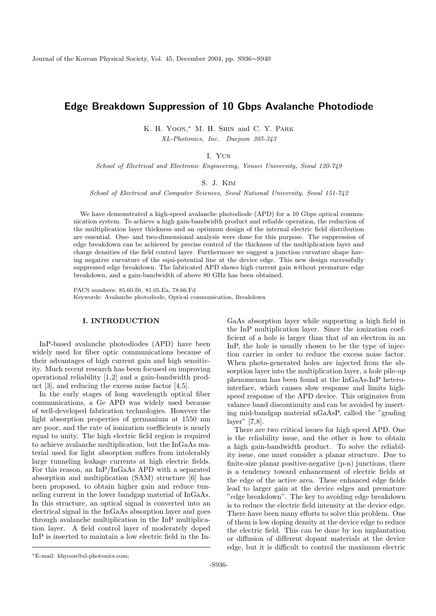# Edge Breakdown Suppression of 10 Gbps Avalanche Photodiode

K. H. YOON,<sup>\*</sup> M. H. SHIN and C. Y. PARK XL-Photonics, Inc. Daejeon 305-343

## I. Yun

School of Electrical and Electronic Engineering, Yonsei University, Seoul 120-749

#### S. J. Kim

School of Electrical and Computer Sciences, Seoul National University, Seoul 151-742

We have demonstrated a high-speed avalanche photodiode (APD) for a 10 Gbps optical communication system. To achieve a high gain-bandwidth product and reliable operation, the reduction of the multiplication layer thickness and an optimum design of the internal electric field distribution are essential. One- and two-dimensional analysis were done for this purpose. The suppression of edge breakdown can be achieved by precise control of the thickness of the multiplication layer and charge densities of the field control layer. Furthermore we suggest a junction curvature shape having negative curvature of the equi-potential line at the device edge. This new design successfully suppressed edge breakdown. The fabricated APD shows high current gain without premature edge breakdown, and a gain-bandwidth of above 80 GHz has been obtained.

PACS numbers: 85.60.Bt, 81.05.Ea, 78.66.Fd Keywords: Avalanche photodiode, Optical communication, Breakdown

#### I. INTRODUCTION

InP-based avalanche photodiodes (APD) have been widely used for fiber optic communications because of their advantages of high current gain and high sensitivity. Much recent research has been focused on improving operational reliability [1,2] and a gain-bandwidth product [3], and reducing the excess noise factor [4,5].

In the early stages of long wavelength optical fiber communications, a Ge APD was widely used because of well-developed fabrication technologies. However the light absorption properties of germanium at 1550 nm are poor, and the rate of ionization coefficients is nearly equal to unity. The high electric field region is required to achieve avalanche multiplication, but the InGaAs material used for light absorption suffers from intolerably large tunneling leakage currents at high electric fields. For this reason, an InP/InGaAs APD with a separated absorption and multiplication (SAM) structure [6] has been proposed, to obtain higher gain and reduce tunneling current in the lower bandgap material of InGaAs. In this structure, an optical signal is converted into an electrical signal in the InGaAs absorption layer and goes through avalanche multiplication in the InP multiplication layer. A field control layer of moderately doped InP is inserted to maintain a low electric field in the InGaAs absorption layer while supporting a high field in the InP multiplication layer. Since the ionization coefficient of a hole is larger than that of an electron in an InP, the hole is usually chosen to be the type of injection carrier in order to reduce the excess noise factor. When photo-generated holes are injected from the absorption layer into the multiplication layer, a hole pile-up phenomenon has been found at the InGaAs-InP heterointerface, which causes slow response and limits highspeed response of the APD device. This originates from valance band discontinuity and can be avoided by inserting mid-bandgap material nGaAsP, called the "grading layer" [7,8].

There are two critical issues for high speed APD. One is the reliability issue, and the other is how to obtain a high gain-bandwidth product. To solve the reliability issue, one must consider a planar structure. Due to finite-size planar positive-negative (p-n) junctions, there is a tendency toward enhancement of electric fields at the edge of the active area. These enhanced edge fields lead to larger gain at the device edges and premature "edge breakdown". The key to avoiding edge breakdown is to reduce the electric field intensity at the device edge. There have been many efforts to solve this problem. One of them is low doping density at the device edge to reduce the electric field. This can be done by ion implantation or diffusion of different dopant materials at the device edge, but it is difficult to control the maximum electric

<sup>∗</sup>E-mail: khyoon@xl-photonics.com;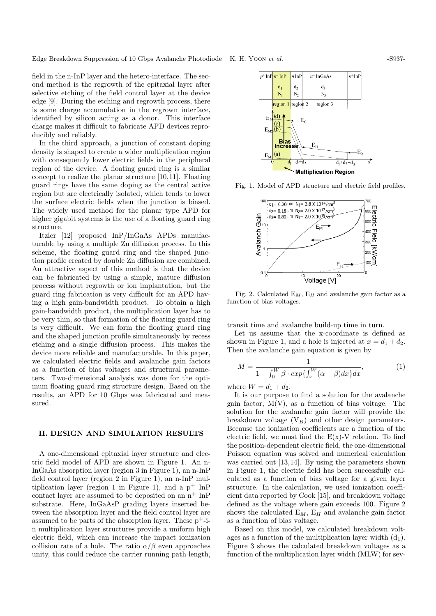field in the n-InP layer and the hetero-interface. The second method is the regrowth of the epitaxial layer after selective etching of the field control layer at the device edge [9]. During the etching and regrowth process, there is some charge accumulation in the regrown interface, identified by silicon acting as a donor. This interface charge makes it difficult to fabricate APD devices reproducibly and reliably.

In the third approach, a junction of constant doping density is shaped to create a wider multiplication region with consequently lower electric fields in the peripheral region of the device. A floating guard ring is a similar concept to realize the planar structure [10,11]. Floating guard rings have the same doping as the central active region but are electrically isolated, which tends to lower the surface electric fields when the junction is biased. The widely used method for the planar type APD for higher gigabit systems is the use of a floating guard ring structure.

Itzler [12] proposed InP/InGaAs APDs manufacturable by using a multiple Zn diffusion process. In this scheme, the floating guard ring and the shaped junction profile created by double Zn diffusion are combined. An attractive aspect of this method is that the device can be fabricated by using a simple, mature diffusion process without regrowth or ion implantation, but the guard ring fabrication is very difficult for an APD having a high gain-bandwidth product. To obtain a high gain-bandwidth product, the multiplication layer has to be very thin, so that formation of the floating guard ring is very difficult. We can form the floating guard ring and the shaped junction profile simultaneously by recess etching and a single diffusion process. This makes the device more reliable and manufacturable. In this paper, we calculated electric fields and avalanche gain factors as a function of bias voltages and structural parameters. Two-dimensional analysis was done for the optimum floating guard ring structure design. Based on the results, an APD for 10 Gbps was fabricated and measured.

#### II. DESIGN AND SIMULATION RESULTS

A one-dimensional epitaxial layer structure and electric field model of APD are shown in Figure 1. An n-InGaAs absorption layer (region 3 in Figure 1), an n-InP field control layer (region 2 in Figure 1), an n-InP multiplication layer (region 1 in Figure 1), and a  $p^+$  InP contact layer are assumed to be deposited on an  $\mathrm{n}^+$  InP substrate. Here, InGaAsP grading layers inserted between the absorption layer and the field control layer are assumed to be parts of the absorption layer. These  $p^+$ -in multiplication layer structures provide a uniform high electric field, which can increase the impact ionization collision rate of a hole. The ratio  $\alpha/\beta$  even approaches unity, this could reduce the carrier running path length,



Fig. 1. Model of APD structure and electric field profiles.



Fig. 2. Calculated  $E_M$ ,  $E_H$  and avalanche gain factor as a function of bias voltages.

transit time and avalanche build-up time in turn.

Let us assume that the x-coordinate is defined as shown in Figure 1, and a hole is injected at  $x = d_1 + d_2$ . Then the avalanche gain equation is given by

$$
M = \frac{1}{1 - \int_0^W \beta \cdot exp\{\int_x^W (\alpha - \beta) dx\} dx},\tag{1}
$$

where  $W = d_1 + d_2$ .

It is our purpose to find a solution for the avalanche gain factor,  $M(V)$ , as a function of bias voltage. The solution for the avalanche gain factor will provide the breakdown voltage  $(V_B)$  and other design parameters. Because the ionization coefficients are a function of the electric field, we must find the  $E(x)-V$  relation. To find the position-dependent electric field, the one-dimensional Poisson equation was solved and numerical calculation was carried out [13,14]. By using the parameters shown in Figure 1, the electric field has been successfully calculated as a function of bias voltage for a given layer structure. In the calculation, we used ionization coefficient data reported by Cook [15], and breakdown voltage defined as the voltage where gain exceeds 100. Figure 2 shows the calculated  $E_M$ ,  $E_H$  and avalanche gain factor as a function of bias voltage.

Based on this model, we calculated breakdown voltages as a function of the multiplication layer width  $(d_1)$ . Figure 3 shows the calculated breakdown voltages as a function of the multiplication layer width (MLW) for sev-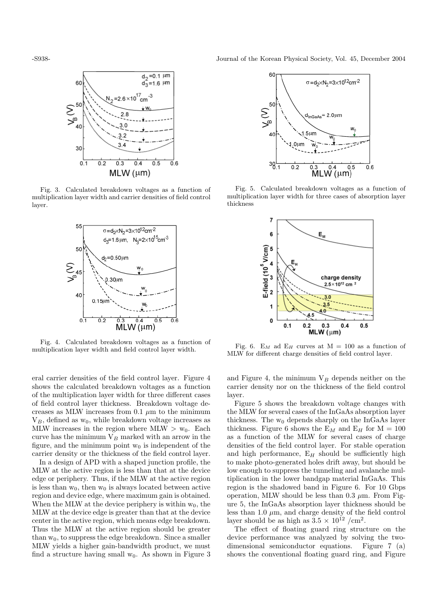

Fig. 3. Calculated breakdown voltages as a function of multiplication layer width and carrier densities of field control layer.



Fig. 4. Calculated breakdown voltages as a function of multiplication layer width and field control layer width.

eral carrier densities of the field control layer. Figure 4 shows the calculated breakdown voltages as a function of the multiplication layer width for three different cases of field control layer thickness. Breakdown voltage decreases as MLW increases from 0.1  $\mu$ m to the minimum  $V_B$ , defined as  $w_0$ , while breakdown voltage increases as MLW increases in the region where MLW  $>$  w<sub>0</sub>. Each curve has the minimum  $V_B$  marked with an arrow in the figure, and the minimum point  $w_0$  is independent of the carrier density or the thickness of the field control layer.

In a design of APD with a shaped junction profile, the MLW at the active region is less than that at the device edge or periphery. Thus, if the MLW at the active region is less than  $w_0$ , then  $w_0$  is always located between active region and device edge, where maximum gain is obtained. When the MLW at the device periphery is within  $w_0$ , the MLW at the device edge is greater than that at the device center in the active region, which means edge breakdown. Thus the MLW at the active region should be greater than  $w_0$ , to suppress the edge breakdown. Since a smaller MLW yields a higher gain-bandwidth product, we must find a structure having small  $w_0$ . As shown in Figure 3

-S938- Journal of the Korean Physical Society, Vol. 45, December 2004



Fig. 5. Calculated breakdown voltages as a function of multiplication layer width for three cases of absorption layer thickness



Fig. 6. E<sub>M</sub> ad E<sub>H</sub> curves at M = 100 as a function of MLW for different charge densities of field control layer.

and Figure 4, the minimum  $V_B$  depends neither on the carrier density nor on the thickness of the field control layer.

Figure 5 shows the breakdown voltage changes with the MLW for several cases of the InGaAs absorption layer thickness. The  $w_0$  depends sharply on the InGaAs layer thickness. Figure 6 shows the  $E_M$  and  $E_H$  for  $M = 100$ as a function of the MLW for several cases of charge densities of the field control layer. For stable operation and high performance,  $E_H$  should be sufficiently high to make photo-generated holes drift away, but should be low enough to suppress the tunneling and avalanche multiplication in the lower bandgap material InGaAs. This region is the shadowed band in Figure 6. For 10 Gbps operation, MLW should be less than  $0.3 \mu$ m. From Figure 5, the InGaAs absorption layer thickness should be less than 1.0  $\mu$ m, and charge density of the field control layer should be as high as  $3.5 \times 10^{12}$  /cm<sup>2</sup>.

The effect of floating guard ring structure on the device performance was analyzed by solving the twodimensional semiconductor equations. Figure 7 (a) shows the conventional floating guard ring, and Figure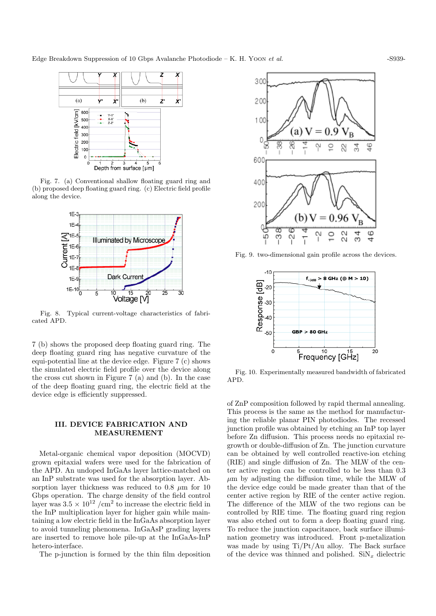

Fig. 7. (a) Conventional shallow floating guard ring and (b) proposed deep floating guard ring. (c) Electric field profile along the device.



Fig. 8. Typical current-voltage characteristics of fabricated APD.

7 (b) shows the proposed deep floating guard ring. The deep floating guard ring has negative curvature of the equi-potential line at the device edge. Figure 7 (c) shows the simulated electric field profile over the device along the cross cut shown in Figure 7 (a) and (b). In the case of the deep floating guard ring, the electric field at the device edge is efficiently suppressed.

### III. DEVICE FABRICATION AND MEASUREMENT

Metal-organic chemical vapor deposition (MOCVD) grown epitaxial wafers were used for the fabrication of the APD. An undoped InGaAs layer lattice-matched on an InP substrate was used for the absorption layer. Absorption layer thickness was reduced to 0.8  $\mu$ m for 10 Gbps operation. The charge density of the field control layer was  $3.5 \times 10^{12}$  /cm<sup>2</sup> to increase the electric field in the InP multiplication layer for higher gain while maintaining a low electric field in the InGaAs absorption layer to avoid tunneling phenomena. InGaAsP grading layers are inserted to remove hole pile-up at the InGaAs-InP hetero-interface.

The p-junction is formed by the thin film deposition



Fig. 9. two-dimensional gain profile across the devices.



Fig. 10. Experimentally measured bandwidth of fabricated APD.

of ZnP composition followed by rapid thermal annealing. This process is the same as the method for manufacturing the reliable planar PIN photodiodes. The recessed junction profile was obtained by etching an InP top layer before Zn diffusion. This process needs no epitaxial regrowth or double-diffusion of Zn. The junction curvature can be obtained by well controlled reactive-ion etching (RIE) and single diffusion of Zn. The MLW of the center active region can be controlled to be less than 0.3  $\mu$ m by adjusting the diffusion time, while the MLW of the device edge could be made greater than that of the center active region by RIE of the center active region. The difference of the MLW of the two regions can be controlled by RIE time. The floating guard ring region was also etched out to form a deep floating guard ring. To reduce the junction capacitance, back surface illumination geometry was introduced. Front p-metalization was made by using Ti/Pt/Au alloy. The Back surface of the device was thinned and polished.  $\text{SiN}_x$  dielectric